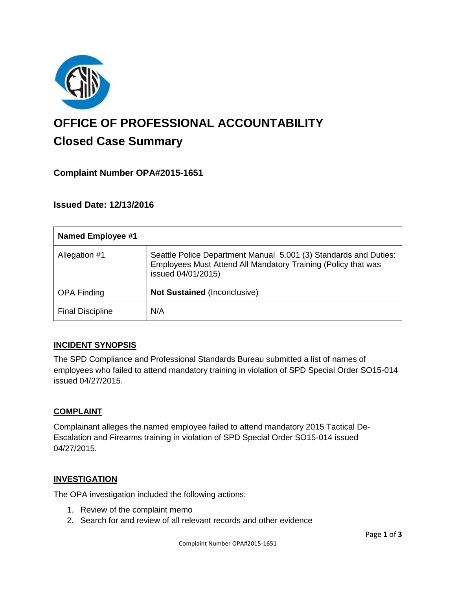

# **OFFICE OF PROFESSIONAL ACCOUNTABILITY Closed Case Summary**

# **Complaint Number OPA#2015-1651**

## **Issued Date: 12/13/2016**

| <b>Named Employee #1</b> |                                                                                                                                                         |
|--------------------------|---------------------------------------------------------------------------------------------------------------------------------------------------------|
| Allegation #1            | Seattle Police Department Manual 5.001 (3) Standards and Duties:<br>Employees Must Attend All Mandatory Training (Policy that was<br>issued 04/01/2015) |
| <b>OPA Finding</b>       | <b>Not Sustained (Inconclusive)</b>                                                                                                                     |
| <b>Final Discipline</b>  | N/A                                                                                                                                                     |

## **INCIDENT SYNOPSIS**

The SPD Compliance and Professional Standards Bureau submitted a list of names of employees who failed to attend mandatory training in violation of SPD Special Order SO15-014 issued 04/27/2015.

## **COMPLAINT**

Complainant alleges the named employee failed to attend mandatory 2015 Tactical De-Escalation and Firearms training in violation of SPD Special Order SO15-014 issued 04/27/2015.

## **INVESTIGATION**

The OPA investigation included the following actions:

- 1. Review of the complaint memo
- 2. Search for and review of all relevant records and other evidence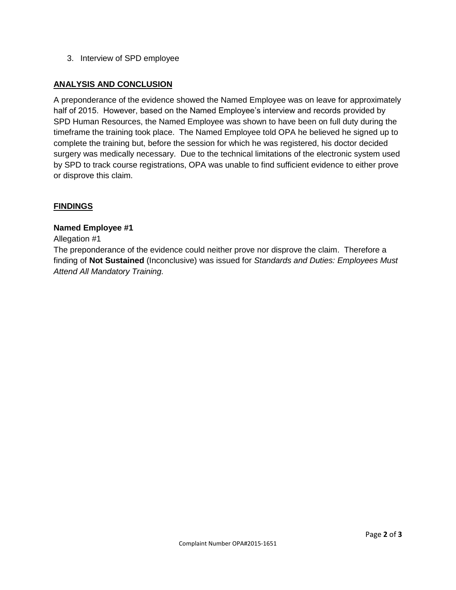3. Interview of SPD employee

## **ANALYSIS AND CONCLUSION**

A preponderance of the evidence showed the Named Employee was on leave for approximately half of 2015. However, based on the Named Employee's interview and records provided by SPD Human Resources, the Named Employee was shown to have been on full duty during the timeframe the training took place. The Named Employee told OPA he believed he signed up to complete the training but, before the session for which he was registered, his doctor decided surgery was medically necessary. Due to the technical limitations of the electronic system used by SPD to track course registrations, OPA was unable to find sufficient evidence to either prove or disprove this claim.

#### **FINDINGS**

#### **Named Employee #1**

#### Allegation #1

The preponderance of the evidence could neither prove nor disprove the claim. Therefore a finding of **Not Sustained** (Inconclusive) was issued for *Standards and Duties: Employees Must Attend All Mandatory Training.*